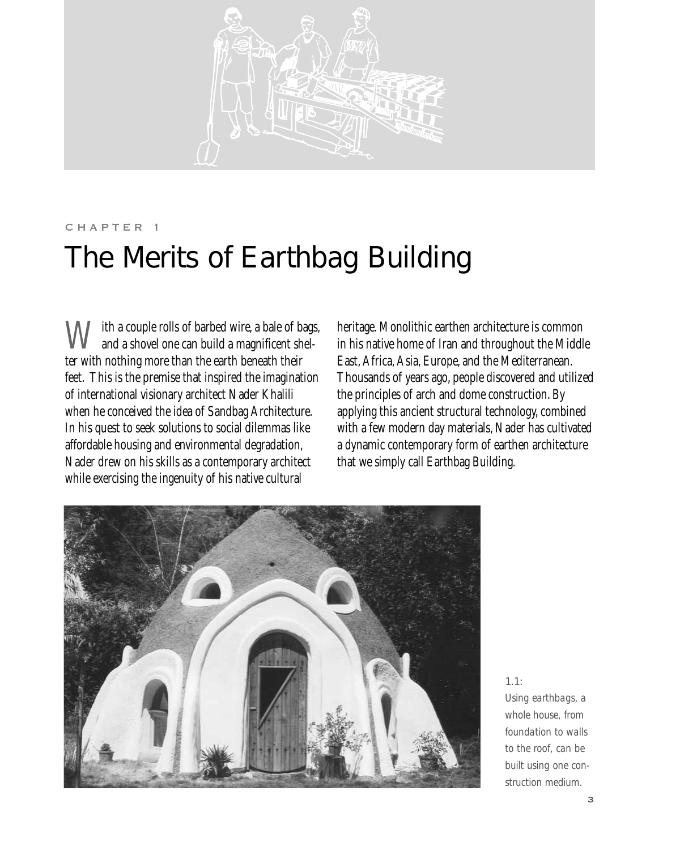

### CHAPTER 1

# The Merits of Earthbag Building

With a couple rolls of barbed wire, a bale of bags, and a shovel one can build a magnificent shelter with nothing more than the earth beneath their feet. This is the premise that inspired the imagination of international visionary architect Nader Khalili when he conceived the idea of Sandbag Architecture. In his quest to seek solutions to social dilemmas like affordable housing and environmental degradation, Nader drew on his skills as a contemporary architect while exercising the ingenuity of his native cultural

heritage. Monolithic earthen architecture is common in his native home of Iran and throughout the Middle East, Africa, Asia, Europe, and the Mediterranean. Thousands of years ago, people discovered and utilized the principles of arch and dome construction. By applying this ancient structural technology, combined with a few modern day materials, Nader has cultivated a dynamic contemporary form of earthen architecture that we simply call Earthbag Building.



1.1: *Using earthbags, a whole house, from foundation to walls to the roof, can be built using one construction medium.*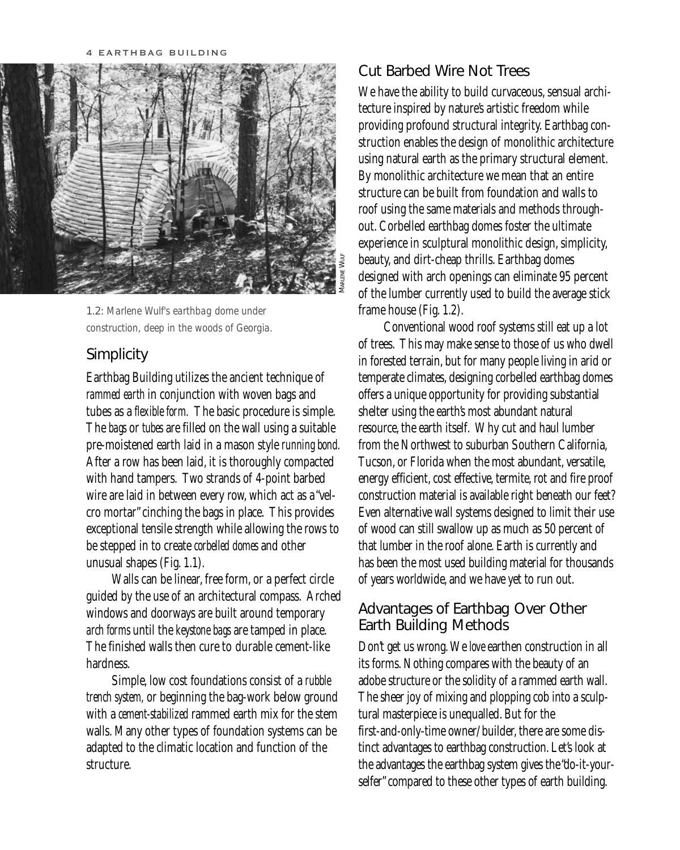

1.2: *Marlene Wulf's earthbag dome under construction, deep in the woods of Georgia.*

## **Simplicity**

Earthbag Building utilizes the ancient technique of *rammed earth* in conjunction with woven bags and tubes as a *flexible form.* The basic procedure is simple. The *bags* or *tubes* are filled on the wall using a suitable pre-moistened earth laid in a mason style *running bond.* After a row has been laid, it is thoroughly compacted with hand tampers. Two strands of 4-point barbed wire are laid in between every row, which act as a "velcro mortar" cinching the bags in place. This provides exceptional tensile strength while allowing the rows to be stepped in to create *corbelled domes* and other unusual shapes (Fig. 1.1).

Walls can be linear, free form, or a perfect circle guided by the use of an architectural compass. Arched windows and doorways are built around temporary *arch forms* until the *keystone bags* are tamped in place. The finished walls then cure to durable cement-like hardness.

Simple, low cost foundations consist of a *rubble trench system,* or beginning the bag-work below ground with a *cement-stabilized* rammed earth mix for the stem walls. Many other types of foundation systems can be adapted to the climatic location and function of the structure.

## Cut Barbed Wire Not Trees

We have the ability to build curvaceous, sensual architecture inspired by nature's artistic freedom while providing profound structural integrity. Earthbag construction enables the design of monolithic architecture using natural earth as the primary structural element. By monolithic architecture we mean that an entire structure can be built from foundation and walls to roof using the same materials and methods throughout. Corbelled earthbag domes foster the ultimate experience in sculptural monolithic design, simplicity, beauty, and dirt-cheap thrills. Earthbag domes designed with arch openings can eliminate 95 percent of the lumber currently used to build the average stick frame house (Fig. 1.2).

Conventional wood roof systems still eat up a lot of trees. This may make sense to those of us who dwell in forested terrain, but for many people living in arid or temperate climates, designing corbelled earthbag domes offers a unique opportunity for providing substantial shelter using the earth's most abundant natural resource, the earth itself. Why cut and haul lumber from the Northwest to suburban Southern California, Tucson, or Florida when the most abundant, versatile, energy efficient, cost effective, termite, rot and fire proof construction material is available right beneath our feet? Even alternative wall systems designed to limit their use of wood can still swallow up as much as 50 percent of that lumber in the roof alone. Earth is currently and has been the most used building material for thousands of years worldwide, and we have yet to run out.

## Advantages of Earthbag Over Other Earth Building Methods

Don't get us wrong. We *love* earthen construction in all its forms. Nothing compares with the beauty of an adobe structure or the solidity of a rammed earth wall. The sheer joy of mixing and plopping cob into a sculptural masterpiece is unequalled. But for the first-and-only-time owner/builder, there are some distinct advantages to earthbag construction. Let's look at the advantages the earthbag system gives the "do-it-yourselfer" compared to these other types of earth building.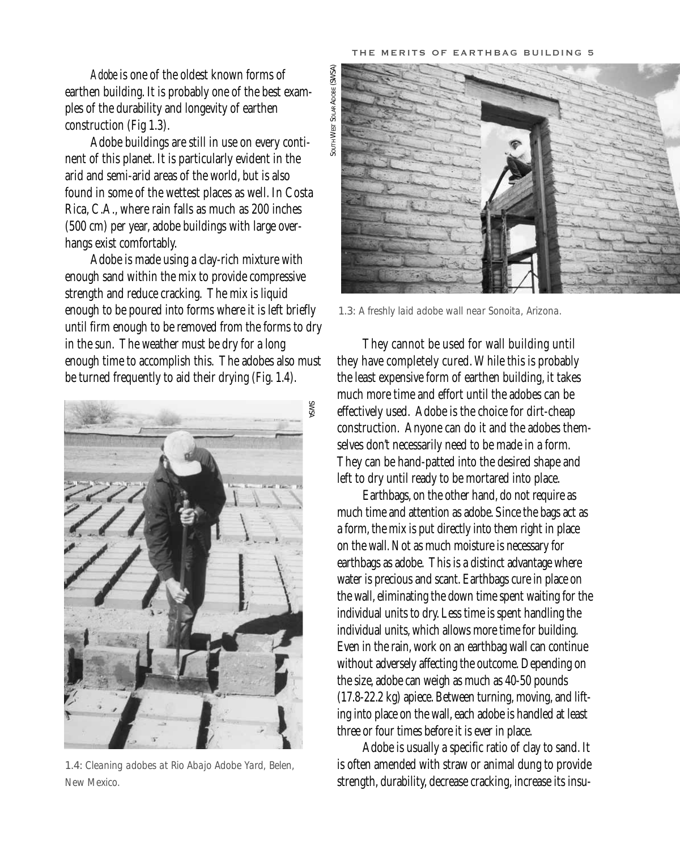*Adobe* is one of the oldest known forms of earthen building. It is probably one of the best examples of the durability and longevity of earthen construction (Fig 1.3).

Adobe buildings are still in use on every continent of this planet. It is particularly evident in the arid and semi-arid areas of the world, but is also found in some of the wettest places as well. In Costa Rica, C.A., where rain falls as much as 200 inches (500 cm) per year, adobe buildings with large overhangs exist comfortably.

Adobe is made using a clay-rich mixture with enough sand within the mix to provide compressive strength and reduce cracking. The mix is liquid enough to be poured into forms where it is left briefly until firm enough to be removed from the forms to dry in the sun. The weather must be dry for a long enough time to accomplish this. The adobes also must be turned frequently to aid their drying (Fig. 1.4).



1.4: *Cleaning adobes at Rio Abajo Adobe Yard, Belen, New Mexico.*

#### THE MERITS OF EARTHBAG BUILDING 5



1.3: *A freshly laid adobe wall near Sonoita, Arizona.* 

They cannot be used for wall building until they have completely cured. While this is probably the least expensive form of earthen building, it takes much more time and effort until the adobes can be effectively used. Adobe is the choice for dirt-cheap construction. Anyone can do it and the adobes themselves don't necessarily need to be made in a form. They can be hand-patted into the desired shape and left to dry until ready to be mortared into place.

Earthbags, on the other hand, do not require as much time and attention as adobe. Since the bags act as a form, the mix is put directly into them right in place on the wall. Not as much moisture is necessary for earthbags as adobe. This is a distinct advantage where water is precious and scant. Earthbags cure in place on the wall, eliminating the down time spent waiting for the individual units to dry. Less time is spent handling the individual units, which allows more time for building. Even in the rain, work on an earthbag wall can continue without adversely affecting the outcome. Depending on the size, adobe can weigh as much as 40-50 pounds (17.8-22.2 kg) apiece. Between turning, moving, and lifting into place on the wall, each adobe is handled at least three or four times before it is ever in place.

Adobe is usually a specific ratio of clay to sand. It is often amended with straw or animal dung to provide strength, durability, decrease cracking, increase its insu-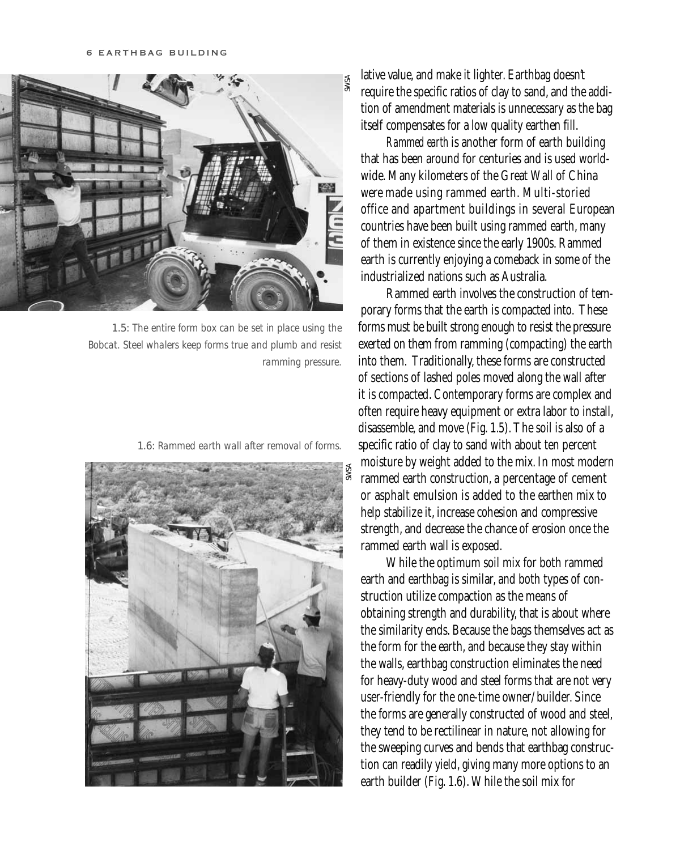

1.5: *The entire form box can be set in place using the Bobcat. Steel whalers keep forms true and plumb and resist ramming pressure.*



1.6: *Rammed earth wall after removal of forms.* 

lative value, and make it lighter. Earthbag doesn't require the specific ratios of clay to sand, and the addition of amendment materials is unnecessary as the bag itself compensates for a low quality earthen fill.

*Rammed earth* is another form of earth building that has been around for centuries and is used worldwide. Many kilometers of the Great Wall of China were made using rammed earth. Multi-storied office and apartment buildings in several European countries have been built using rammed earth, many of them in existence since the early 1900s. Rammed earth is currently enjoying a comeback in some of the industrialized nations such as Australia.

Rammed earth involves the construction of temporary forms that the earth is compacted into. These forms must be built strong enough to resist the pressure exerted on them from ramming (compacting) the earth into them. Traditionally, these forms are constructed of sections of lashed poles moved along the wall after it is compacted. Contemporary forms are complex and often require heavy equipment or extra labor to install, disassemble, and move (Fig. 1.5). The soil is also of a specific ratio of clay to sand with about ten percent moisture by weight added to the mix. In most modern rammed earth construction, a percentage of cement or asphalt emulsion is added to the earthen mix to help stabilize it, increase cohesion and compressive strength, and decrease the chance of erosion once the rammed earth wall is exposed.

While the optimum soil mix for both rammed earth and earthbag is similar, and both types of construction utilize compaction as the means of obtaining strength and durability, that is about where the similarity ends. Because the bags themselves act as the form for the earth, and because they stay within the walls, earthbag construction eliminates the need for heavy-duty wood and steel forms that are not very user-friendly for the one-time owner/builder. Since the forms are generally constructed of wood and steel, they tend to be rectilinear in nature, not allowing for the sweeping curves and bends that earthbag construction can readily yield, giving many more options to an earth builder (Fig. 1.6). While the soil mix for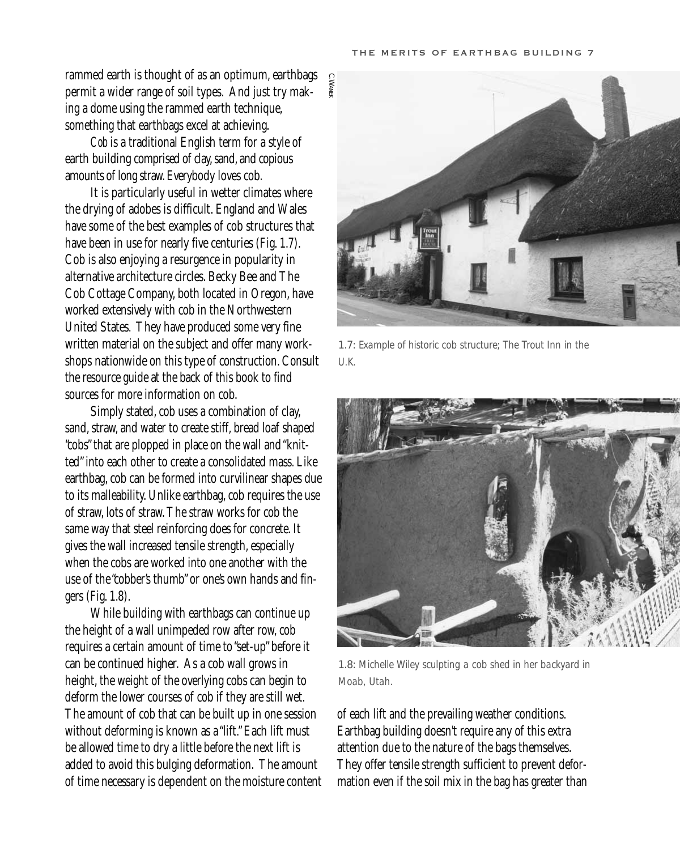#### THE MERITS OF EARTHBAG BUILDING 7

rammed earth is thought of as an optimum, earthbags permit a wider range of soil types. And just try making a dome using the rammed earth technique, something that earthbags excel at achieving.

*Cob* is a traditional English term for a style of earth building comprised of clay, sand, and copious amounts of long straw. Everybody loves cob.

It is particularly useful in wetter climates where the drying of adobes is difficult. England and Wales have some of the best examples of cob structures that have been in use for nearly five centuries (Fig. 1.7). Cob is also enjoying a resurgence in popularity in alternative architecture circles. Becky Bee and The Cob Cottage Company, both located in Oregon, have worked extensively with cob in the Northwestern United States. They have produced some very fine written material on the subject and offer many workshops nationwide on this type of construction. Consult the resource guide at the back of this book to find sources for more information on cob.

Simply stated, cob uses a combination of clay, sand, straw, and water to create stiff, bread loaf shaped "cobs" that are plopped in place on the wall and "knitted" into each other to create a consolidated mass. Like earthbag, cob can be formed into curvilinear shapes due to its malleability. Unlike earthbag, cob requires the use of straw, lots of straw. The straw works for cob the same way that steel reinforcing does for concrete. It gives the wall increased tensile strength, especially when the cobs are worked into one another with the use of the "cobber's thumb" or one's own hands and fingers (Fig. 1.8).

While building with earthbags can continue up the height of a wall unimpeded row after row, cob requires a certain amount of time to "set-up" before it can be continued higher. As a cob wall grows in height, the weight of the overlying cobs can begin to deform the lower courses of cob if they are still wet. The amount of cob that can be built up in one session without deforming is known as a "lift." Each lift must be allowed time to dry a little before the next lift is added to avoid this bulging deformation. The amount of time necessary is dependent on the moisture content



1.7: *Example of historic cob structure; The Trout Inn in the U.K.*



1.8: *Michelle Wiley sculpting a cob shed in her backyard in Moab, Utah.*

of each lift and the prevailing weather conditions. Earthbag building doesn't require any of this extra attention due to the nature of the bags themselves. They offer tensile strength sufficient to prevent deformation even if the soil mix in the bag has greater than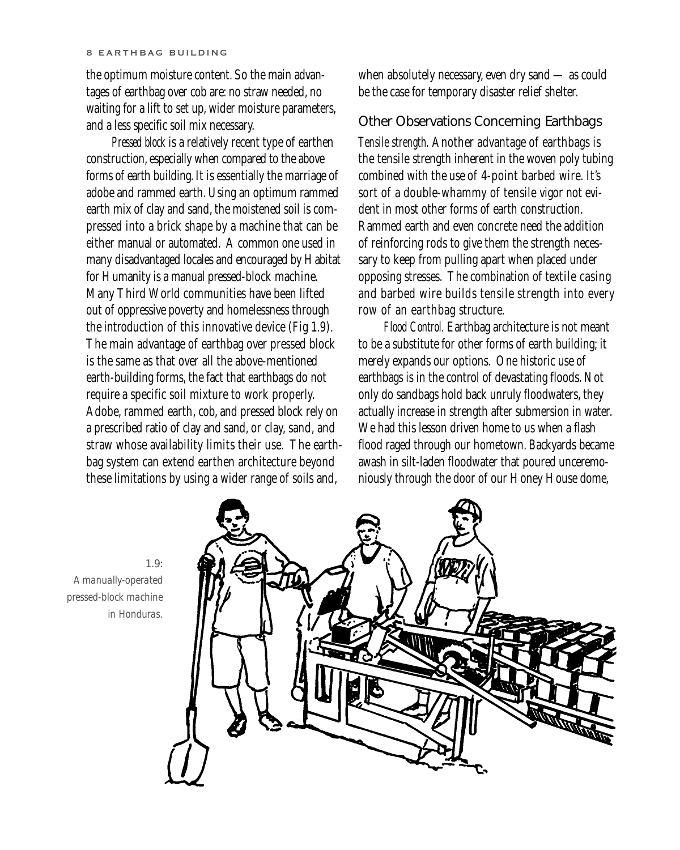#### 8 EARTHBAG BUILDING

the optimum moisture content. So the main advantages of earthbag over cob are: no straw needed, no waiting for a lift to set up, wider moisture parameters, and a less specific soil mix necessary.

*Pressed block* is a relatively recent type of earthen construction, especially when compared to the above forms of earth building. It is essentially the marriage of adobe and rammed earth. Using an optimum rammed earth mix of clay and sand, the moistened soil is compressed into a brick shape by a machine that can be either manual or automated. A common one used in many disadvantaged locales and encouraged by Habitat for Humanity is a manual pressed-block machine. Many Third World communities have been lifted out of oppressive poverty and homelessness through the introduction of this innovative device (Fig 1.9). The main advantage of earthbag over pressed block is the same as that over all the above-mentioned earth-building forms, the fact that earthbags do not require a specific soil mixture to work properly. Adobe, rammed earth, cob, and pressed block rely on a prescribed ratio of clay and sand, or clay, sand, and straw whose availability limits their use. The earthbag system can extend earthen architecture beyond these limitations by using a wider range of soils and,

when absolutely necessary, even dry sand — as could be the case for temporary disaster relief shelter.

Other Observations Concerning Earthbags

*Tensile strength.* Another advantage of earthbags is the tensile strength inherent in the woven poly tubing combined with the use of 4-point barbed wire. It's sort of a double-whammy of tensile vigor not evident in most other forms of earth construction. Rammed earth and even concrete need the addition of reinforcing rods to give them the strength necessary to keep from pulling apart when placed under opposing stresses. The combination of textile casing and barbed wire builds tensile strength into every row of an earthbag structure.

*Flood Control.* Earthbag architecture is not meant to be a substitute for other forms of earth building; it merely expands our options. One historic use of earthbags is in the control of devastating floods. Not only do sandbags hold back unruly floodwaters, they actually increase in strength after submersion in water. We had this lesson driven home to us when a flash flood raged through our hometown. Backyards became awash in silt-laden floodwater that poured unceremoniously through the door of our Honey House dome,



1.9: *A manually-operated pressed-block machine in Honduras.*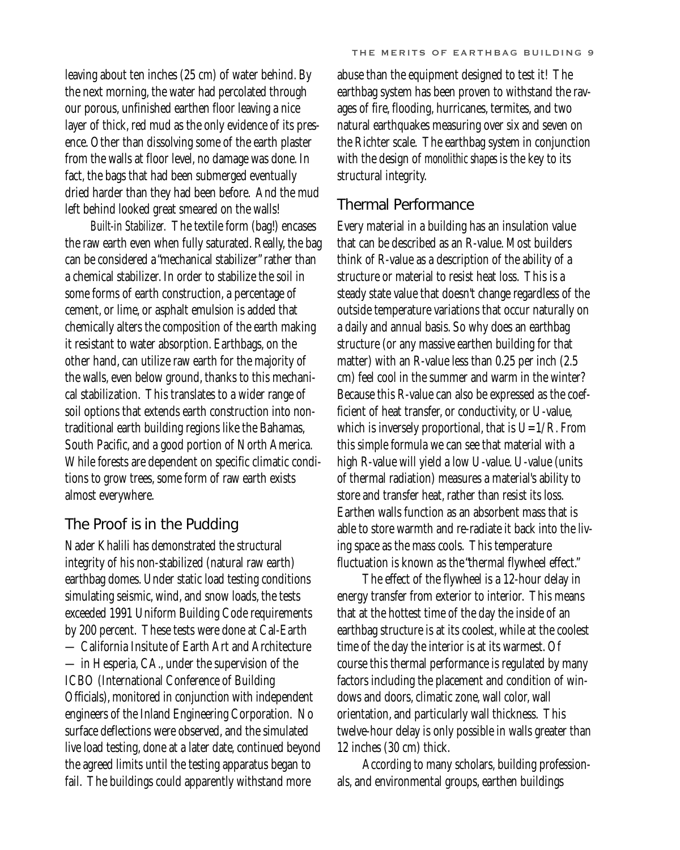leaving about ten inches (25 cm) of water behind. By the next morning, the water had percolated through our porous, unfinished earthen floor leaving a nice layer of thick, red mud as the only evidence of its presence. Other than dissolving some of the earth plaster from the walls at floor level, no damage was done. In fact, the bags that had been submerged eventually dried harder than they had been before. And the mud left behind looked great smeared on the walls!

*Built-in Stabilizer.* The textile form (bag!) encases the raw earth even when fully saturated. Really, the bag can be considered a "mechanical stabilizer" rather than a chemical stabilizer. In order to stabilize the soil in some forms of earth construction, a percentage of cement, or lime, or asphalt emulsion is added that chemically alters the composition of the earth making it resistant to water absorption. Earthbags, on the other hand, can utilize raw earth for the majority of the walls, even below ground, thanks to this mechanical stabilization. This translates to a wider range of soil options that extends earth construction into nontraditional earth building regions like the Bahamas, South Pacific, and a good portion of North America. While forests are dependent on specific climatic conditions to grow trees, some form of raw earth exists almost everywhere.

## The Proof is in the Pudding

Nader Khalili has demonstrated the structural integrity of his non-stabilized (natural raw earth) earthbag domes. Under static load testing conditions simulating seismic, wind, and snow loads, the tests exceeded 1991 Uniform Building Code requirements by 200 percent. These tests were done at Cal-Earth — California Insitute of Earth Art and Architecture — in Hesperia, CA., under the supervision of the ICBO (International Conference of Building Officials), monitored in conjunction with independent engineers of the Inland Engineering Corporation. No surface deflections were observed, and the simulated live load testing, done at a later date, continued beyond the agreed limits until the testing apparatus began to fail. The buildings could apparently withstand more

abuse than the equipment designed to test it! The earthbag system has been proven to withstand the ravages of fire, flooding, hurricanes, termites, and two natural earthquakes measuring over six and seven on the Richter scale. The earthbag system in conjunction with the design of *monolithic shapes* is the key to its structural integrity.

## Thermal Performance

Every material in a building has an insulation value that can be described as an R-value. Most builders think of R-value as a description of the ability of a structure or material to resist heat loss. This is a steady state value that doesn't change regardless of the outside temperature variations that occur naturally on a daily and annual basis. So why does an earthbag structure (or any massive earthen building for that matter) with an R-value less than 0.25 per inch (2.5 cm) feel cool in the summer and warm in the winter? Because this R-value can also be expressed as the coefficient of heat transfer, or conductivity, or U-value, which is inversely proportional, that is  $U=1/R$ . From this simple formula we can see that material with a high R-value will yield a low U-value. U-value (units of thermal radiation) measures a material's ability to store and transfer heat, rather than resist its loss. Earthen walls function as an absorbent mass that is able to store warmth and re-radiate it back into the living space as the mass cools. This temperature fluctuation is known as the "thermal flywheel effect."

The effect of the flywheel is a 12-hour delay in energy transfer from exterior to interior. This means that at the hottest time of the day the inside of an earthbag structure is at its coolest, while at the coolest time of the day the interior is at its warmest. Of course this thermal performance is regulated by many factors including the placement and condition of windows and doors, climatic zone, wall color, wall orientation, and particularly wall thickness. This twelve-hour delay is only possible in walls greater than 12 inches (30 cm) thick.

According to many scholars, building professionals, and environmental groups, earthen buildings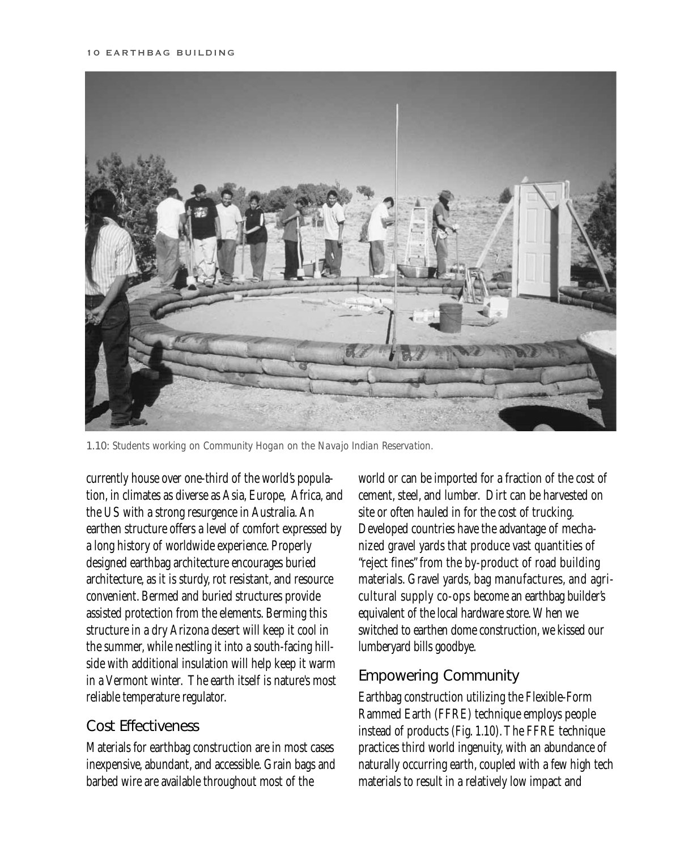

1.10: *Students working on Community Hogan on the Navajo Indian Reservation.*

currently house over one-third of the world's population, in climates as diverse as Asia, Europe, Africa, and the US with a strong resurgence in Australia. An earthen structure offers a level of comfort expressed by a long history of worldwide experience. Properly designed earthbag architecture encourages buried architecture, as it is sturdy, rot resistant, and resource convenient. Bermed and buried structures provide assisted protection from the elements. Berming this structure in a dry Arizona desert will keep it cool in the summer, while nestling it into a south-facing hillside with additional insulation will help keep it warm in a Vermont winter. The earth itself is nature's most reliable temperature regulator.

## Cost Effectiveness

Materials for earthbag construction are in most cases inexpensive, abundant, and accessible. Grain bags and barbed wire are available throughout most of the

world or can be imported for a fraction of the cost of cement, steel, and lumber. Dirt can be harvested on site or often hauled in for the cost of trucking. Developed countries have the advantage of mechanized gravel yards that produce vast quantities of "reject fines" from the by-product of road building materials. Gravel yards, bag manufactures, and agricultural supply co-ops become an earthbag builder's equivalent of the local hardware store. When we switched to earthen dome construction, we kissed our lumberyard bills goodbye.

## Empowering Community

Earthbag construction utilizing the Flexible-Form Rammed Earth (FFRE) technique employs people instead of products (Fig. 1.10). The FFRE technique practices third world ingenuity, with an abundance of naturally occurring earth, coupled with a few high tech materials to result in a relatively low impact and